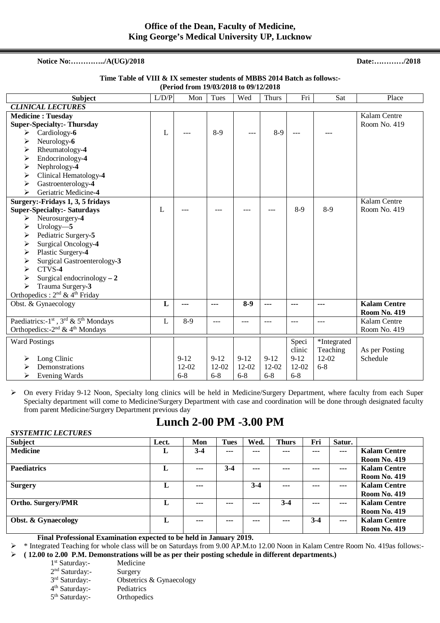### **Notice No:…………../A(UG)/2018 Date:…………/2018**

#### **Time Table of VIII & IX semester students of MBBS 2014 Batch as follows:- (Period from 19/03/2018 to 09/12/2018**

| <b>Subject</b>                                                                                                                                                                                                                                                                                                                                                         | L/D/P | Mon                          | Tues                         | Wed                          | <b>Thurs</b>                     | Fri                                             | Sat                                             | Place                                      |
|------------------------------------------------------------------------------------------------------------------------------------------------------------------------------------------------------------------------------------------------------------------------------------------------------------------------------------------------------------------------|-------|------------------------------|------------------------------|------------------------------|----------------------------------|-------------------------------------------------|-------------------------------------------------|--------------------------------------------|
| <b>CLINICAL LECTURES</b>                                                                                                                                                                                                                                                                                                                                               |       |                              |                              |                              |                                  |                                                 |                                                 |                                            |
| <b>Medicine: Tuesday</b><br><b>Super-Specialty:- Thursday</b><br>Cardiology-6<br>➤<br>Neurology-6<br>➤<br>Rheumatology-4<br>≻<br>Endocrinology-4<br>➤<br>Nephrology-4<br>➤<br>Clinical Hematology-4<br>➤<br>Gastroenterology-4<br>➤                                                                                                                                    | L     |                              | $8-9$                        | ---                          | $8-9$                            |                                                 |                                                 | Kalam Centre<br>Room No. 419               |
| Geriatric Medicine-4<br>⋗                                                                                                                                                                                                                                                                                                                                              |       |                              |                              |                              |                                  |                                                 |                                                 |                                            |
| Surgery:-Fridays 1, 3, 5 fridays<br><b>Super-Specialty:- Saturdays</b><br>Neurosurgery-4<br>➤<br>Urology $-5$<br>➤<br>Pediatric Surgery-5<br>➤<br>Surgical Oncology-4<br>➤<br>Plastic Surgery-4<br>➤<br>Surgical Gastroenterology-3<br>➤<br>CTVS-4<br>⋗<br>Surgical endocrinology $-2$<br>➤<br>Trauma Surgery-3<br>➤<br>Orthopedics: $2^{nd}$ & 4 <sup>th</sup> Friday | L     |                              |                              |                              |                                  | $8-9$                                           | $8-9$                                           | Kalam Centre<br>Room No. 419               |
| Obst. & Gynaecology                                                                                                                                                                                                                                                                                                                                                    | L     | ---                          | ---                          | $8-9$                        | ---                              | ---                                             | ---                                             | <b>Kalam Centre</b><br><b>Room No. 419</b> |
| Paediatrics:-1 <sup>st</sup> , 3 <sup>rd</sup> & 5 <sup>th</sup> Mondays<br>Orthopedics: -2 <sup>nd</sup> & 4 <sup>th</sup> Mondays                                                                                                                                                                                                                                    | L     | $8-9$                        | $---$                        | ---                          | ---                              | $---$                                           | $- - -$                                         | Kalam Centre<br>Room No. 419               |
| <b>Ward Postings</b><br>Long Clinic<br>⋗<br>Demonstrations<br>Evening Wards<br>➤                                                                                                                                                                                                                                                                                       |       | $9 - 12$<br>12-02<br>$6 - 8$ | $9 - 12$<br>12-02<br>$6 - 8$ | $9 - 12$<br>12-02<br>$6 - 8$ | $9 - 12$<br>$12 - 02$<br>$6 - 8$ | Speci<br>clinic<br>$9 - 12$<br>12-02<br>$6 - 8$ | *Integrated<br>Teaching<br>$12 - 02$<br>$6 - 8$ | As per Posting<br>Schedule                 |

 On every Friday 9-12 Noon, Specialty long clinics will be held in Medicine/Surgery Department, where faculty from each Super Specialty department will come to Medicine/Surgery Department with case and coordination will be done through designated faculty from parent Medicine/Surgery Department previous day

### **Lunch 2-00 PM -3.00 PM**

| <b>SYSTEMTIC LECTURES</b>      |       |         |             |         |              |         |                |                     |
|--------------------------------|-------|---------|-------------|---------|--------------|---------|----------------|---------------------|
| <b>Subject</b>                 | Lect. | Mon     | <b>Tues</b> | Wed.    | <b>Thurs</b> | Fri     | Satur.         |                     |
| <b>Medicine</b>                | L     | $3-4$   | $--$        | $- - -$ | ---          | ---     | $\overline{a}$ | <b>Kalam Centre</b> |
|                                |       |         |             |         |              |         |                | <b>Room No. 419</b> |
| <b>Paediatrics</b>             | L     | $- - -$ | $3-4$       | ---     | ---          | ---     | $\overline{a}$ | <b>Kalam Centre</b> |
|                                |       |         |             |         |              |         |                | <b>Room No. 419</b> |
| <b>Surgery</b>                 | L     | $- - -$ |             | $3-4$   | ---          | ---     | $- - -$        | <b>Kalam Centre</b> |
|                                |       |         |             |         |              |         |                | <b>Room No. 419</b> |
| <b>Ortho. Surgery/PMR</b>      | L     | ---     | ---         | $- - -$ | $3-4$        | $- - -$ | $- - -$        | Kalam Centre        |
|                                |       |         |             |         |              |         |                | <b>Room No. 419</b> |
| <b>Obst. &amp; Gynaecology</b> | L     | ---     | ---         | $--$    | ---          | $3 - 4$ | $--$           | <b>Kalam Centre</b> |
|                                |       |         |             |         |              |         |                | <b>Room No. 419</b> |

 **Final Professional Examination expected to be held in January 2019.** 

 \* Integrated Teaching for whole class will be on Saturdays from 9.00 AP.M.to 12.00 Noon in Kalam Centre Room No. 419as follows:- **( 12.00 to 2.00 P.M. Demonstrations will be as per their posting schedule in different departments.)**

1<sup>st</sup> Saturday:- Medicine

2 nd Saturday:- Surgery

3rd Saturday:-Obstetrics & Gynaecology

4 th Saturday:- Pediatrics

5<sup>th</sup> Saturday:- Orthopedics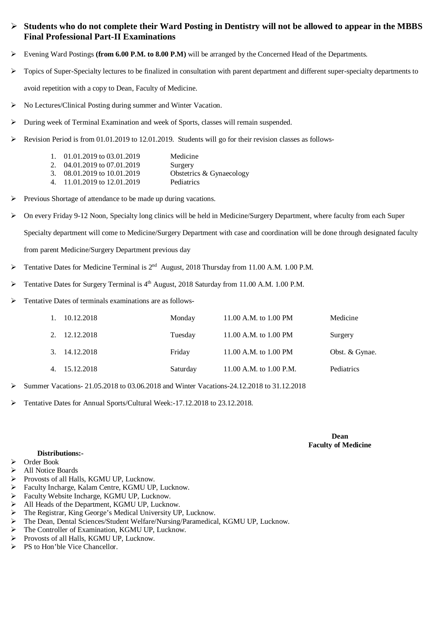### **Students who do not complete their Ward Posting in Dentistry will not be allowed to appear in the MBBS Final Professional Part-II Examinations**

- Evening Ward Postings **(from 6.00 P.M. to 8.00 P.M)** will be arranged by the Concerned Head of the Departments.
- $\triangleright$  Topics of Super-Specialty lectures to be finalized in consultation with parent department and different super-specialty departments to avoid repetition with a copy to Dean, Faculty of Medicine.
- No Lectures/Clinical Posting during summer and Winter Vacation.
- $\triangleright$  During week of Terminal Examination and week of Sports, classes will remain suspended.
- $\triangleright$  Revision Period is from 01.01.2019 to 12.01.2019. Students will go for their revision classes as follows-

| 1. $01.01.2019$ to $03.01.2019$ | Medicine                 |
|---------------------------------|--------------------------|
| 2. $04.01.2019$ to $07.01.2019$ | Surgery                  |
| 3. $08.01.2019$ to $10.01.2019$ | Obstetrics & Gynaecology |
| 4. 11.01.2019 to 12.01.2019     | Pediatrics               |

- Previous Shortage of attendance to be made up during vacations.
- $\triangleright$  On every Friday 9-12 Noon, Specialty long clinics will be held in Medicine/Surgery Department, where faculty from each Super Specialty department will come to Medicine/Surgery Department with case and coordination will be done through designated faculty from parent Medicine/Surgery Department previous day
- Tentative Dates for Medicine Terminal is 2<sup>nd</sup> August, 2018 Thursday from 11.00 A.M. 1.00 P.M.
- Tentative Dates for Surgery Terminal is 4<sup>th</sup> August, 2018 Saturday from 11.00 A.M. 1.00 P.M.
- Tentative Dates of terminals examinations are as follows-

| 1. 10.12.2018 | Monday   | 11.00 A.M. to 1.00 PM   | Medicine          |
|---------------|----------|-------------------------|-------------------|
| 2. 12.12.2018 | Tuesday  | 11.00 A.M. to 1.00 PM   | Surgery           |
| 3. 14.12.2018 | Friday   | 11.00 A.M. to 1.00 PM   | Obst. & Gynae.    |
| 4. 15.12.2018 | Saturday | 11.00 A.M. to 1.00 P.M. | <b>Pediatrics</b> |

- Summer Vacations- 21.05.2018 to 03.06.2018 and Winter Vacations-24.12.2018 to 31.12.2018
- Tentative Dates for Annual Sports/Cultural Week:-17.12.2018 to 23.12.2018.

**Dean Faculty of Medicine** 

#### **Distributions:-**

- Order Book
- > All Notice Boards
- 
- ▶ Provosts of all Halls, KGMU UP, Luckily<br/>\n<math display="inline">></math> Faculty Incharge, Kalam Centre, KGMU UP
- <ul>\n<li>► Faculty Incharge, Kalam Centre, KGMU UP, Lucknow.</li>\n<li>▶ Faculty Website Incharge, KGMU UP, Lucknow.</li>\n<li>▶ All Heads of the Department, KGMU UP, Lucknow.</li>\n</ul> Faculty Website Incharge, KGMU UP, Lucknow.
- All Heads of the Department, KGMU UP, Lucknow.
- The Registrar, King George's Medical University UP, Lucknow.
- The Dean, Dental Sciences/Student Welfare/Nursing/Paramedical, KGMU UP, Lucknow.
- The Controller of Examination, KGMU UP, Lucknow.
- Provosts of all Halls, KGMU UP, Lucknow.
- $\triangleright$  PS to Hon'ble Vice Chancellor.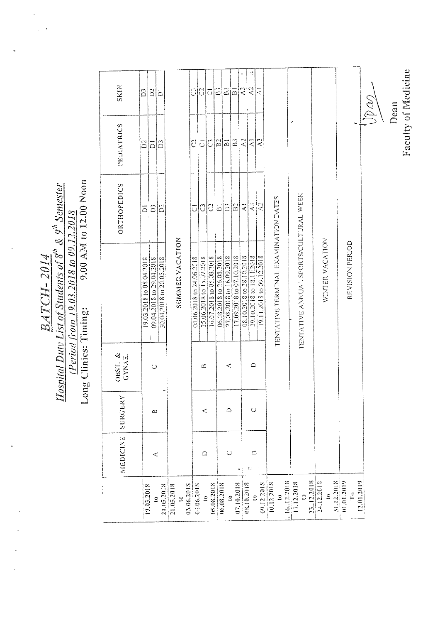$\frac{BAATCH-2014}{\text{Position University of Studies of 8}^{\text{th}} \text{ & 9}^{\text{th}} \text{ Semester}}$ <br>
(Period from 19.03.2018 to 09.12.2018)<br>
Long Clinics: Timing: 9.00 AM to 12.00 Noon

 $\ddot{\phantom{0}}$ 

|                                                            | <b>NEDICINE</b>  | SURGERY     | OBST. &<br>GYNAE. |                                                                               | ORTHOPEDICS              | PEDIATRICS     | <b>SKIN</b>              |
|------------------------------------------------------------|------------------|-------------|-------------------|-------------------------------------------------------------------------------|--------------------------|----------------|--------------------------|
|                                                            |                  |             |                   |                                                                               |                          |                |                          |
| 19,03,2018                                                 |                  |             |                   | 19.03.2018 to 08.04.2018                                                      | $\bar{\circ}$            | $\tilde{D}$    | S                        |
|                                                            | ⋖                | $\triangle$ | $\circ$           |                                                                               | $\mathbb{S}^2$           | $\bar{\circ}$  | $\mathbb{D}^2$           |
| $\frac{10}{21.05,2018}$<br>$\frac{21.05,2018}{21.05,2018}$ |                  |             |                   | 09.04.2018 to 29.04.2018<br>30.04.2018 to 20.05.2018                          | $\sum_{i=1}^{n}$         | â              | $\bar{\circ}$            |
|                                                            |                  |             |                   |                                                                               |                          |                |                          |
|                                                            |                  |             |                   | SUMMER VACATION                                                               |                          |                |                          |
| $\frac{10}{103.06.2018}$                                   |                  |             |                   |                                                                               |                          |                |                          |
| 04.06.2018                                                 |                  |             |                   | 04.06.2018 to 24.06.2018                                                      | $\overline{C}$           | U              | ි                        |
|                                                            | ≏                | $\prec$     | ∞                 | 25.06.2018 to 15.07.2018                                                      | 3 8                      | $\bar{\circ}$  | ଧାତ                      |
| $\frac{10}{05.08,2018}$                                    |                  |             |                   | 16.07.2018 to 05.08.2018                                                      |                          | ြင             |                          |
| 06,08.2018                                                 |                  |             |                   |                                                                               | $\overline{a}$           | B <sub>2</sub> | $\frac{2}{5}$            |
| $\mathbf{c}$                                               | $\circ$          | ♤           | ⋖                 |                                                                               | $\widetilde{\Xi}$        | $\vec{\omega}$ |                          |
| 07.10.2018                                                 |                  |             |                   | $\frac{06.08.2018 \text{ to } 26.08.2018}{27.08.2018 \text{ to } 16.09.2018}$ | ΙS                       | $\mathbf{B}$   | ∣⊡                       |
|                                                            |                  |             |                   | 08.10.2018 to 28.10.2018                                                      | $\overline{\mathcal{L}}$ | $\lambda$ 2    | S                        |
| 08.10.2018<br>$\ddot{\mathbf{c}}$                          | $\approx$<br>12, | $\bigcirc$  | $\supseteq$       | 29.10.2018 to 18.1 [2018]                                                     | 2                        | ₹              | $\mathcal{N}$            |
| 09.12.2018                                                 |                  |             |                   | 19.11.2018 to 09.12.2018                                                      | $\mathcal{L}$            | Q              | Z                        |
|                                                            |                  |             |                   |                                                                               |                          |                |                          |
| 10.12.2018                                                 |                  |             |                   | TENTATIVE TERMINAL EXAMINATION DATES                                          |                          |                |                          |
|                                                            |                  |             |                   |                                                                               |                          |                |                          |
|                                                            |                  |             |                   |                                                                               |                          |                |                          |
| $\frac{1612.2018}{17.12.2018}$                             |                  |             |                   | TENTATIVE ANNUAL SPORTS/CULTURAL WEEK                                         |                          |                |                          |
|                                                            |                  |             |                   |                                                                               |                          |                |                          |
| 23.12.2018                                                 |                  |             |                   |                                                                               |                          |                |                          |
| S                                                          |                  |             |                   | WINTER VACATION                                                               |                          |                |                          |
|                                                            |                  |             |                   |                                                                               |                          |                |                          |
| 31.12.2018<br>01.01.2019                                   |                  |             |                   |                                                                               |                          |                |                          |
|                                                            |                  |             |                   | REVISION PERIOD                                                               |                          |                |                          |
| 12.01,2019                                                 |                  |             |                   |                                                                               |                          |                |                          |
|                                                            |                  |             |                   |                                                                               |                          |                | $\mathbb{Q}(\mathbb{Z})$ |
|                                                            |                  |             |                   |                                                                               |                          |                |                          |
|                                                            |                  |             |                   |                                                                               |                          |                | Dean                     |

Faculty of Medicine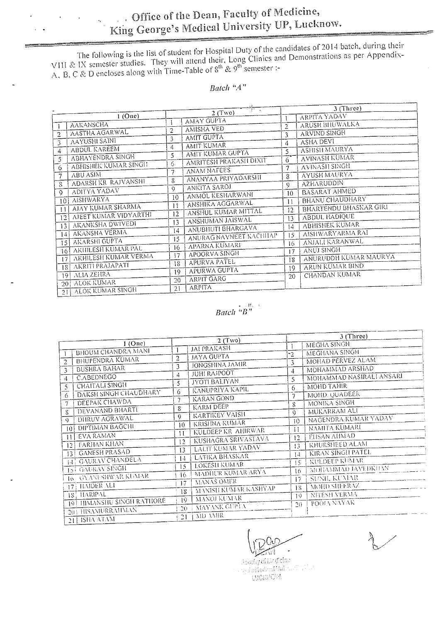# Office of the Dean, Faculty of Medicine, King George's Medical University UP, Lucknow.

The following is the list of student for Hospital Duty of the candidates of 2014 batch, during their VIII & IX semester studies. They will attend their, Long Clinics and Demonstrations as per Appendix-A, B, C & D encloses

### Batch " $A$ "

|                                    | $\frac{1}{\left\  \left\  \left\  \left\  \left( \frac{1}{\  \mathbf{1}_{\mathbf{1}_{\mathbf{1}_{\mathbf{1}_{\mathbf{1}}}}}} \right) \right\ _{\mathbf{1}_{\mathbf{1}_{\mathbf{1}}}} } \right\ _{\mathbf{1}_{\mathbf{1}_{\mathbf{1}}}} }{L_{\mathbf{1}_{\mathbf{1}}}}.$ | 3 (Three)                                        |
|------------------------------------|-------------------------------------------------------------------------------------------------------------------------------------------------------------------------------------------------------------------------------------------------------------------------|--------------------------------------------------|
| $1$ (One)                          | 2(Two)<br><b>AMAY GUPTA</b>                                                                                                                                                                                                                                             | <b>ARPITA YADAV</b>                              |
| <b>AAKANSCHA</b>                   |                                                                                                                                                                                                                                                                         | <b>ARUSH BHUWALKA</b><br>$\overline{2}$          |
| AASTHA AGARWAL                     | <b>AMISHA VED</b>                                                                                                                                                                                                                                                       | <b>ARVIND SINGH</b>                              |
| $\overline{2}$                     | $\overline{2}$                                                                                                                                                                                                                                                          | 3                                                |
| <b>AAYUSHI SAINI</b>               | <b>AMIT GUPTA</b>                                                                                                                                                                                                                                                       | <b>ASHA DEVI</b>                                 |
| 3                                  | 3                                                                                                                                                                                                                                                                       | 4                                                |
| <b>ABDUL KAREEM</b>                | <b>AMIT KUMAR</b>                                                                                                                                                                                                                                                       | <b>ASHISH MAURYA</b>                             |
| 4                                  | 4                                                                                                                                                                                                                                                                       | 5                                                |
| ABHAYENDRA SINGH                   | AMIT KUMAR GUPTA                                                                                                                                                                                                                                                        | <b>AVINASH KUMAR</b>                             |
| 5.                                 | 5.                                                                                                                                                                                                                                                                      | 6                                                |
| <b>ABHISHEK KUMAR SINGH</b>        | AMRITESH PRAKASH DIXIT                                                                                                                                                                                                                                                  | <b>AVINASITSINGH</b>                             |
| 6                                  | 6                                                                                                                                                                                                                                                                       | 7                                                |
| <b>ABU ASIM</b>                    | <b>ANAM NAFEES</b>                                                                                                                                                                                                                                                      | <b>AYUSH MAURYA</b>                              |
| 7                                  | 7                                                                                                                                                                                                                                                                       | 8                                                |
| <b>ADARSH KR RAJVANSHI</b>         | ANANYAA PRIYADARSIII                                                                                                                                                                                                                                                    | <b>AZHARUDDIN</b>                                |
| 8                                  | 8.                                                                                                                                                                                                                                                                      | 9                                                |
| <b>ADITYA YADAV</b><br>$\circ$     | ANKITA SAROJ<br>9                                                                                                                                                                                                                                                       | <b>BASARAT AHMED</b>                             |
| <b>AISHWARYA</b>                   | ANMOL KESHARWANI                                                                                                                                                                                                                                                        | 10                                               |
| 10 <sup>1</sup>                    | 10                                                                                                                                                                                                                                                                      | <b>BHANU CHAUDHARY</b>                           |
| AJAY KUMAR SHARMA                  | ANSHIKA AGGARWAL<br>11                                                                                                                                                                                                                                                  | $\mathbf{1}$<br><b>BHARTENDU BHASKAR GIRI</b>    |
| 11                                 | ANSHUL KUMAR MITTAL                                                                                                                                                                                                                                                     | 12                                               |
| AJEET KUMAR VIDYARTHI              | 12                                                                                                                                                                                                                                                                      | <b>ABDUL HADIQUE</b>                             |
| 121                                | ANSHUMAN JAISWAL                                                                                                                                                                                                                                                        | 13                                               |
| AKANKSHA DWIVEDI                   | 13                                                                                                                                                                                                                                                                      | <b>ABHISHEK KUMAR</b>                            |
| 13                                 | ANUBHUTI BHARGAVA                                                                                                                                                                                                                                                       | 14                                               |
| AKANSHA VERMA                      | 14                                                                                                                                                                                                                                                                      | AISHWARYARMA RAI                                 |
| 14!                                | <b>ANURAG NAVNEET KACHILAP</b>                                                                                                                                                                                                                                          | 15                                               |
| AKARSHI GUPTA                      | 15                                                                                                                                                                                                                                                                      | ANJALI KARANWAL                                  |
| 5 <br><b>AKHILESH KUMAR PAL</b>    | <b>APARNA KUMARI</b><br>16.                                                                                                                                                                                                                                             | 16                                               |
| 161<br><b>AKHILESH KUMAR VERMA</b> | APOORVA SINGH<br>17                                                                                                                                                                                                                                                     | <b>ANUJ SINGH</b><br>17<br>ANURUDDH KUMAR MAURYA |
| 17<br>AKRITI PRAJAPATI             | APURVA PATEL<br>18                                                                                                                                                                                                                                                      | 18                                               |
| 181                                | <b>APURWA GUPTA</b><br>19                                                                                                                                                                                                                                               | ARUN KUMAR BIND<br>19                            |
| ALIA ZEHRA                         | <b>ARPIT GARG</b>                                                                                                                                                                                                                                                       | <b>CHANDAN KUMAR</b>                             |
| 9                                  | 20                                                                                                                                                                                                                                                                      | 20                                               |
| <b>ALOK KUMAR</b><br>201           | <b>ARPITA</b><br>21                                                                                                                                                                                                                                                     |                                                  |
| <b>ALOK KUMAR SINGH</b><br>21      |                                                                                                                                                                                                                                                                         |                                                  |

# $Batch\left[\stackrel{\cdots}{\phantom{A}}\stackrel{\cdots}{B}\stackrel{\cdots}{\phantom{A}}\right]$

|                                          |                                    | 3 (Three)                           |
|------------------------------------------|------------------------------------|-------------------------------------|
| $1$ (One)                                | 2(Tw0)<br><b>JAI PRAKASH</b>       | <b>MEGHA SINGH</b>                  |
| <b>BHOUM CHANDRA MANI</b>                |                                    | MEGHANA SINGH<br>-2                 |
| <b>BHUPENDRA KUMAR</b><br>$\overline{2}$ | <b>JAYA GUPTA</b><br>2             | <b>MOHAD PERVEZ ALAM</b><br>3.      |
| <b>BUSHRA BAHAR</b>                      | JONGSHINA JAMIR<br>3               | MOHAMMAD ARSHAD<br>4                |
| C.ABEDNEGO<br>4                          | <b>JUHI RAJPOOT</b><br>4           | MOHAMMAD NASIRALI ANSARI<br>5       |
| <b>CHAITALI SINGH</b><br>$5^{\circ}$     | <b>JYOTI BALIYAN</b><br>5.         | MOHD TAHIR<br>6                     |
| <b>DAKSH SINGH CHAUDHARY</b><br>6        | KANUPRIYA KAPIL<br>6.              | MOHD. QUADEER<br>7                  |
| DEEPAK CHAWDA<br>7                       | <b>KARAN GOND</b><br>7             | <b>MONIKA SINGH</b><br>8            |
| DEVANAND BHARTI<br>8.                    | KARM DEEP<br>8.                    | MUKARRAM ALI                        |
| <b>DIRUV AGRAWAL</b><br>9.               | <b>KARTIKEY VAISH</b><br>9         | 9<br>NAGENDRA KUMAR YADAV           |
| DIPTIMAN BAGCHI                          | <b>KRISHNA KUMAR</b><br>10         | 10<br>NAMITA KUMARI                 |
| 101<br><b>EVA RAMAN</b>                  | KULDEEP KR AHIRWAR<br>$\mathbf{H}$ | $\mathbf{1}$<br><b>EIISAN AHMAD</b> |
| $\mathbb{I}$<br><b>FARHAN KHAN</b>       | KUSHAGRA SRIVASTAVA<br>12          | 12<br>KHURSHEED ALAM                |
| 12 <sup>1</sup>                          | <b>LALIT KUMAR YADAV</b><br>13     | 13                                  |
| 13   GANESH PRASAD                       | LATIKA BHASKAR<br>14               | KIRAN SINGH PATEL<br>14             |
| 14 GAURAV CHANDELA                       | <b>LOKESH KUMAR</b><br>15.         | <b>KULDEEP KUMAR</b><br>15          |
| 15 GAURAV SINGH                          | <b>MADHUR KUMAR ARYA</b><br>16.    | MOHAMMAD JÄVEDKÜAN<br>16            |
| <b>10 : GYANESHWAR KUMAR</b>             | <b>MANAS OMER</b><br>17            | <b>SUNIL KUMAR</b><br>17            |
| 17 HAIDER ALI                            | MANISH KUMAR KASHYAP               | MOHD SHEERAZ<br>18                  |
| 18: HARIPAL                              | 18<br>MANOJ KUMAR                  | NITESH VERMA<br>19                  |
| 19 HIMANSHU SINGH RATHORE                | 19<br>MAYANK GUPTA                 | POOLA NAYAK<br>$20 -$               |
| 20 HISAMURRAHMAN                         | 20.                                |                                     |
| $21$   ISHA ATAM                         | MD AMIR<br>21                      |                                     |

Prophy of Lindfeine stayers of the Constantinople of the Constantinople of the Constantinople of the Constantinople of the Constantinople of the Constantinople of the Constantinople of the Constantinople of the Constantinople of the Constanti **NORRENT**